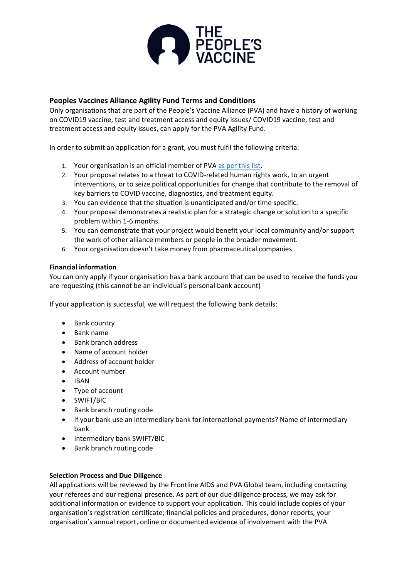

# **Peoples Vaccines Alliance Agility Fund Terms and Conditions**

Only organisations that are part of the People's Vaccine Alliance (PVA) and have a history of working on COVID19 vaccine, test and treatment access and equity issues/ COVID19 vaccine, test and treatment access and equity issues, can apply for the PVA Agility Fund.

In order to submit an application for a grant, you must fulfil the following criteria:

- 1. Your organisation is an official member of PVA [as per this list.](https://peoplesvaccine.org/supporters/)
- 2. Your proposal relates to a threat to COVID-related human rights work, to an urgent interventions, or to seize political opportunities for change that contribute to the removal of key barriers to COVID vaccine, diagnostics, and treatment equity.
- 3. You can evidence that the situation is unanticipated and/or time specific.
- 4. Your proposal demonstrates a realistic plan for a strategic change or solution to a specific problem within 1-6 months.
- 5. You can demonstrate that your project would benefit your local community and/or support the work of other alliance members or people in the broader movement.
- 6. Your organisation doesn't take money from pharmaceutical companies

## **Financial information**

You can only apply if your organisation has a bank account that can be used to receive the funds you are requesting (this cannot be an individual's personal bank account)

If your application is successful, we will request the following bank details:

- Bank country
- Bank name
- Bank branch address
- Name of account holder
- Address of account holder
- Account number
- IBAN
- Type of account
- SWIFT/BIC
- Bank branch routing code
- If your bank use an intermediary bank for international payments? Name of intermediary bank
- Intermediary bank SWIFT/BIC
- Bank branch routing code

## **Selection Process and Due Diligence**

All applications will be reviewed by the Frontline AIDS and PVA Global team, including contacting your referees and our regional presence. As part of our due diligence process, we may ask for additional information or evidence to support your application. This could include copies of your organisation's registration certificate; financial policies and procedures, donor reports, your organisation's annual report, online or documented evidence of involvement with the PVA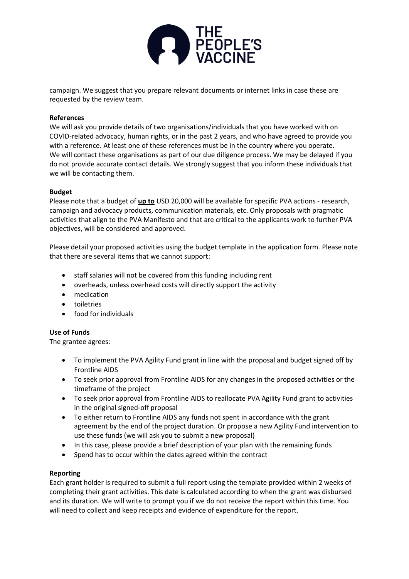

campaign. We suggest that you prepare relevant documents or internet links in case these are requested by the review team.

## **References**

We will ask you provide details of two organisations/individuals that you have worked with on COVID-related advocacy, human rights, or in the past 2 years, and who have agreed to provide you with a reference. At least one of these references must be in the country where you operate. We will contact these organisations as part of our due diligence process. We may be delayed if you do not provide accurate contact details. We strongly suggest that you inform these individuals that we will be contacting them.

## **Budget**

Please note that a budget of **up to** USD 20,000 will be available for specific PVA actions - research, campaign and advocacy products, communication materials, etc. Only proposals with pragmatic activities that align to the PVA Manifesto and that are critical to the applicants work to further PVA objectives, will be considered and approved.

Please detail your proposed activities using the budget template in the application form. Please note that there are several items that we cannot support:

- staff salaries will not be covered from this funding including rent
- overheads, unless overhead costs will directly support the activity
- medication
- toiletries
- food for individuals

## **Use of Funds**

The grantee agrees:

- To implement the PVA Agility Fund grant in line with the proposal and budget signed off by Frontline AIDS
- To seek prior approval from Frontline AIDS for any changes in the proposed activities or the timeframe of the project
- To seek prior approval from Frontline AIDS to reallocate PVA Agility Fund grant to activities in the original signed-off proposal
- To either return to Frontline AIDS any funds not spent in accordance with the grant agreement by the end of the project duration. Or propose a new Agility Fund intervention to use these funds (we will ask you to submit a new proposal)
- In this case, please provide a brief description of your plan with the remaining funds
- Spend has to occur within the dates agreed within the contract

## **Reporting**

Each grant holder is required to submit a full report using the template provided within 2 weeks of completing their grant activities. This date is calculated according to when the grant was disbursed and its duration. We will write to prompt you if we do not receive the report within this time. You will need to collect and keep receipts and evidence of expenditure for the report.